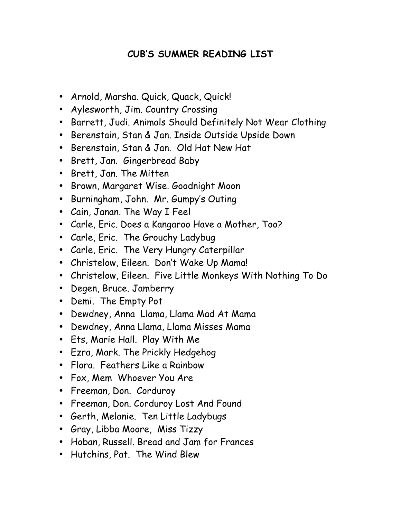## **CUB'S SUMMER READING LIST**

- Arnold, Marsha. Quick, Quack, Quick!
- Aylesworth, Jim. Country Crossing
- Barrett, Judi. Animals Should Definitely Not Wear Clothing
- Berenstain, Stan & Jan. Inside Outside Upside Down
- Berenstain, Stan & Jan. Old Hat New Hat
- Brett, Jan. Gingerbread Baby
- Brett, Jan. The Mitten
- Brown, Margaret Wise. Goodnight Moon
- Burningham, John. Mr. Gumpy's Outing
- Cain, Janan. The Way I Feel
- Carle, Eric. Does a Kangaroo Have a Mother, Too?
- Carle, Eric. The Grouchy Ladybug
- Carle, Eric. The Very Hungry Caterpillar
- Christelow, Eileen. Don't Wake Up Mama!
- Christelow, Eileen. Five Little Monkeys With Nothing To Do
- Degen, Bruce. Jamberry
- Demi. The Empty Pot
- Dewdney, Anna Llama, Llama Mad At Mama
- Dewdney, Anna Llama, Llama Misses Mama
- Ets, Marie Hall. Play With Me
- Ezra, Mark. The Prickly Hedgehog
- Flora. Feathers Like a Rainbow
- Fox, Mem Whoever You Are
- Freeman, Don. Corduroy
- Freeman, Don. Corduroy Lost And Found
- Gerth, Melanie. Ten Little Ladybugs
- Gray, Libba Moore, Miss Tizzy
- Hoban, Russell. Bread and Jam for Frances
- Hutchins, Pat. The Wind Blew